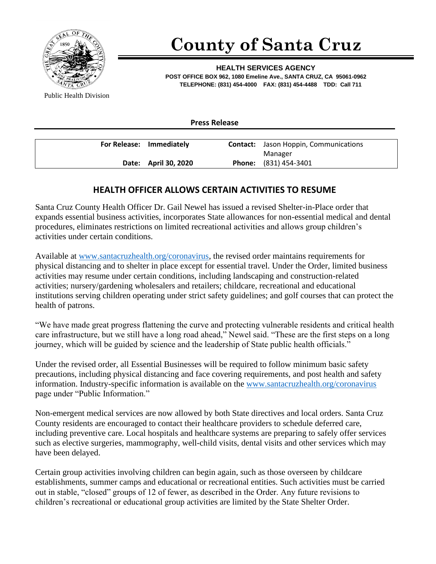

## **County of Santa Cruz**

**HEALTH SERVICES AGENCY POST OFFICE BOX 962, 1080 Emeline Ave., SANTA CRUZ, CA 95061-0962 TELEPHONE: (831) 454-4000 FAX: (831) 454-4488 TDD: Call 711**

Public Health Division

**Press Release**

| For Release: Immediately | <b>Contact:</b> Jason Hoppin, Communications |
|--------------------------|----------------------------------------------|
|                          | Manager                                      |
| Date: April 30, 2020     | <b>Phone:</b> (831) 454-3401                 |

## **HEALTH OFFICER ALLOWS CERTAIN ACTIVITIES TO RESUME**

Santa Cruz County Health Officer Dr. Gail Newel has issued a revised Shelter-in-Place order that expands essential business activities, incorporates State allowances for non-essential medical and dental procedures, eliminates restrictions on limited recreational activities and allows group children's activities under certain conditions.

Available at [www.santacruzhealth.org/coronavirus,](http://www.santacruzhealth.org/coronavirus) the revised order maintains requirements for physical distancing and to shelter in place except for essential travel. Under the Order, limited business activities may resume under certain conditions, including landscaping and construction-related activities; nursery/gardening wholesalers and retailers; childcare, recreational and educational institutions serving children operating under strict safety guidelines; and golf courses that can protect the health of patrons.

"We have made great progress flattening the curve and protecting vulnerable residents and critical health care infrastructure, but we still have a long road ahead," Newel said. "These are the first steps on a long journey, which will be guided by science and the leadership of State public health officials."

Under the revised order, all Essential Businesses will be required to follow minimum basic safety precautions, including physical distancing and face covering requirements, and post health and safety information. Industry-specific information is available on the [www.santacruzhealth.org/coronavirus](http://www.santacruzhealth.org/coronavirus) page under "Public Information."

Non-emergent medical services are now allowed by both State directives and local orders. Santa Cruz County residents are encouraged to contact their healthcare providers to schedule deferred care, including preventive care. Local hospitals and healthcare systems are preparing to safely offer services such as elective surgeries, mammography, well-child visits, dental visits and other services which may have been delayed.

Certain group activities involving children can begin again, such as those overseen by childcare establishments, summer camps and educational or recreational entities. Such activities must be carried out in stable, "closed" groups of 12 of fewer, as described in the Order. Any future revisions to children's recreational or educational group activities are limited by the State Shelter Order.